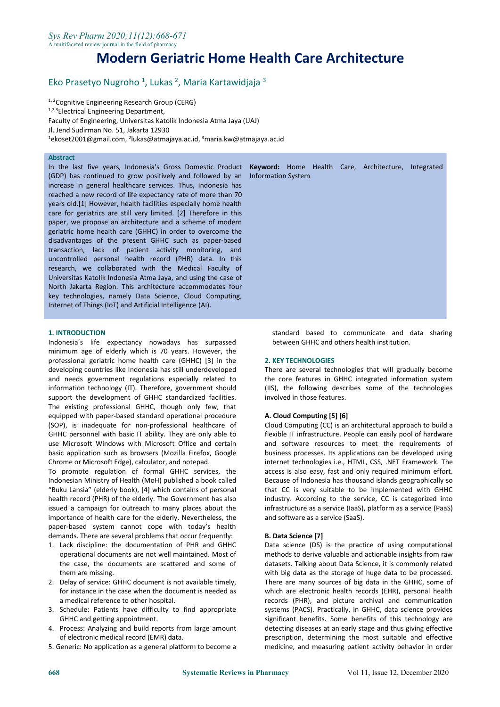# **Modern Geriatric Home Health Care Architecture**

#### Eko Prasetyo Nugroho <sup>1</sup>, Lukas <sup>2</sup>, Maria Kartawidjaja <sup>3</sup> 3

<sup>1, 2</sup>Cognitive Engineering Research Group (CERG) 1,2,3Electrical Engineering Department, Faculty of Engineering, Universitas Katolik Indonesia Atma Jaya (UAJ) Jl. Jend Sudirman No. 51, Jakarta 12930  $^1$ ekoset2001@gmail.com,  $^2$ lukas@atmajaya.ac.id,  $^3$ maria.kw@atmajaya.ac.id

# **Abstract**

In the last five years, Indonesia's Gross Domestic Product **Keyword:** Home Health Care, Architecture, Integrated (GDP) has continued to grow positively and followed byan Information System increase in general healthcare services. Thus, Indonesia has reached a new record of life expectancy rate of more than 70 years old.[1] However, health facilities especially home health care for geriatrics are still very limited. [2] Therefore in this paper, we propose an architecture and a scheme of modern geriatric home health care (GHHC) in order to overcome the disadvantages of the present GHHC such as paper-based transaction, lack of patient activity monitoring, and uncontrolled personal health record (PHR) data. In this research, we collaborated with the Medical Faculty of Universitas Katolik Indonesia Atma Jaya, and using the case of North Jakarta Region. This architecture accommodates four key technologies, namely Data Science, Cloud Computing, Internet of Things (IoT) and Artificial Intelligence (AI).

#### **1. INTRODUCTION**

Indonesia's life expectancy nowadays has surpassed minimum age of elderly which is 70 years. However, the professional geriatric home health care (GHHC) [3] in the developing countries like Indonesia has still underdeveloped and needs government regulations especially related to information technology (IT). Therefore, government should support the development of GHHC standardized facilities. The existing professional GHHC, though only few, that equipped with paper-based standard operational procedure (SOP), is inadequate for non-professional healthcare of GHHC personnel with basic IT ability. They are only able to use Microsoft Windows with Microsoft Office and certain basic application such as browsers (Mozilla Firefox, Google Chrome or Microsoft Edge), calculator, and notepad.

To promote regulation of formal GHHC services, the Indonesian Ministry of Health (MoH) published a book called "Buku Lansia" (elderly book), [4] which contains of personal health record (PHR) of the elderly. The Government has also issued a campaign for outreach to many places about the importance of health care for the elderly. Nevertheless, the paper-based system cannot cope with today's health demands. There are several problems that occur frequently:

- 1. Lack discipline: the documentation of PHR and GHHC operational documents are not wellmaintained. Most of the case, the documents are scattered and some of them are missing.
- 2. Delay of service: GHHC document is not available timely, for instance in the case when the document is needed as a medical reference to other hospital.
- 3. Schedule: Patients have difficulty to find appropriate GHHC and getting appointment.
- 4. Process: Analyzing and build reports from large amount of electronic medical record (EMR) data.
- 5. Generic: No application as a general platform to become a

standard based to communicate and data sharing between GHHC and others health institution.

#### **2. KEY TECHNOLOGIES**

There are several technologies that will gradually become the core features in GHHC integrated information system (IIS), the following describes some of the technologies involved in those features.

#### **A. Cloud Computing [5] [6]**

Cloud Computing (CC) is an architectural approach to build a flexible IT infrastructure. People can easily pool of hardware and software resources to meet the requirements of business processes. Its applications can be developed using internet technologies i.e., HTML, CSS, .NET Framework. The access is also easy, fast and only required minimum effort. Because of Indonesia has thousand islands geographically so that CC is very suitable to be implemented with GHHC industry. According to the service, CC is categorized into infrastructure as a service (IaaS), platform as a service (PaaS) and software as a service (SaaS).

#### **B. Data Science [7]**

Data science (DS) is the practice of using computational methods to derive valuable and actionable insights from raw datasets. Talking about Data Science, it is commonly related with big data as the storage of huge data to be processed.<br>There are many sources of big data in the GHHC, some of which are electronic health records (EHR), personal health records (PHR), and picture archival and communication systems (PACS). Practically, in GHHC, data science provides significant benefits. Some benefits of this technology are detecting diseases at an early stage and thus giving effective prescription, determining the most suitable and effective medicine, and measuring patient activity behavior in order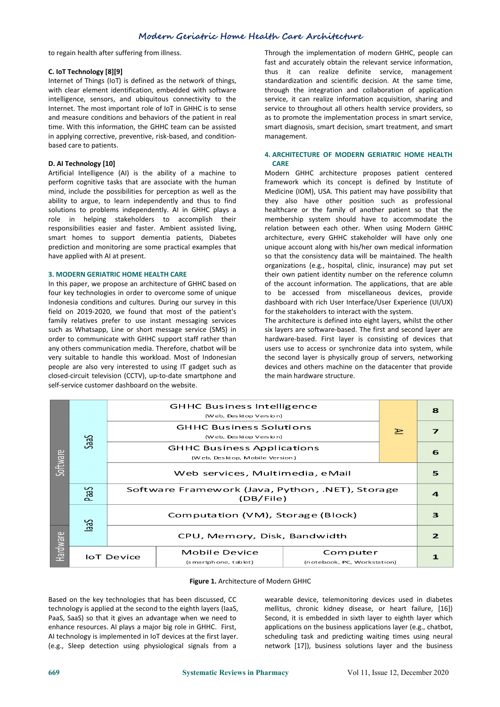to regain health after suffering from illness.

# **C. IoT Technology [8][9]**

Internet of Things (IoT) is defined as the network of things, with clear element identification, embedded with software intelligence, sensors, and ubiquitous connectivity to the Internet. The most important role of IoT in GHHC is to sense and measure conditions and behaviors of the patient in real time. With this information, the GHHC team can be assisted in applying corrective, preventive, risk-based, and condition based care to patients.

# **D. AI Technology [10]**

Artificial Intelligence (AI) is the ability of a machine to perform cognitive tasks that are associate with the human mind, include the possibilities for perception as well as the ability to argue, to learn independently and thus to find solutions to problems independently. AI in GHHC plays a role in helping stakeholders to accomplish their responsibilities easier and faster. Ambient assisted living, smart homes to support dementia patients, Diabetes prediction and monitoring are some practical examples that have applied with AI at present.

# **3. MODERN GERIATRIC HOME HEALTH CARE**

In this paper, we propose an architecture of GHHC based on four key technologies in order to overcome some of unique Indonesia conditions and cultures. During our survey in this field on 2019-2020, we found that most of the patient's family relatives prefer to use instant messaging services such as Whatsapp, Line or short message service (SMS) in order to communicate with GHHC support staff rather than any others communication media. Therefore, chatbot will be very suitable to handle this workload. Most of Indonesian people are also very interested to using IT gadget such as closed-circuit television (CCTV), up-to-date smartphone and self-service customer dashboard on the website.

Through the implementation of modern GHHC, people can fast and accurately obtain the relevant service information, thus it can realize definite service, management standardization and scientific decision. At the same time, through the integration and collaboration of application service, it can realize information acquisition, sharing and service to throughout all others health service providers, so as to promote the implementation process in smart service, smart diagnosis, smart decision, smart treatment, and smart management.

# **4. ARCHITECTURE OF MODERN GERIATRIC HOME HEALTH CARE**

Modern GHHC architecture proposes patient centered framework which its concept is defined by Institute of Medicine (IOM), USA. This patient may have possibility that they also have other position such as professional healthcare or the family of another patient so that the membership system should have to accommodate the relation between each other. When using Modern GHHC architecture, every GHHC stakeholder will have only one unique account along with his/her own medical information so that the consistency data will be maintained. The health organizations (e.g., hospital, clinic, insurance) may put set their own patient identity number on the reference column of the account information. The applications, that are able to be accessed from miscellaneous devices, provide dashboard with rich User Interface/User Experience (UI/UX) for the stakeholders to interact with the system.

The architecture is defined into eight layers, whilst the other six layers are software-based. The first and second layer are hardware-based. First layer is consisting of devices that users use to access or synchronize data into system, while the second layer is physically group of servers, networking devices and others machine on the datacenter that provide the main hardware structure.

| Software<br><b>Hardware</b> | <b>SaaS</b>       | <b>GHHC Business Intelligence</b><br>(Web, Desktop Version)         |                                       |                                         | 8             |              |
|-----------------------------|-------------------|---------------------------------------------------------------------|---------------------------------------|-----------------------------------------|---------------|--------------|
|                             |                   | <b>GHHC Business Solutions</b><br>(Web, Desktop Version)            |                                       |                                         | $\Rightarrow$ | 7            |
|                             |                   | <b>GHHC Business Applications</b><br>(Web, Desktop, Mobile Version) |                                       |                                         |               | 6            |
|                             |                   | Web services, Multimedia, eMail                                     |                                       |                                         |               | 5            |
|                             | PaaS              | Software Framework (Java, Python, .NET), Storage<br>(DB/File)       |                                       |                                         |               | $\mathbf{a}$ |
|                             | Cec               | Computation (VM), Storage (Block)                                   |                                       |                                         |               | з            |
|                             |                   | CPU, Memory, Disk, Bandwidth                                        |                                       |                                         |               | $\mathbf{z}$ |
|                             | <b>IoT</b> Device |                                                                     | Mobile Device<br>(smartphone, tablet) | Computer<br>(notebook, PC, Workstation) |               |              |

#### **Figure 1.** Architecture of Modern GHHC

technology is applied at the second to the eighth layers (laaS, mellitus, chronic kidney disease, or heart failure, [16]) PaaS, SaaS) so that it gives an advantage when we need to enhance resources. AI plays a major big role in GHHC. First, AI technology is implemented in IoT devices at the first layer.

Based on the key technologies that has been discussed, CC Based on the key technologies that has been discussed, CC wearable device, telemonitoring devices used in diabetes<br>
technology is applied at the second to the eighth layers (laaS, mellitus, chronic kidney disease, or heart Second, it is embedded in sixth layer to eighth layer which applications on the business applications layer (e.g., chatbot, scheduling task and predicting waiting times using neural network [17]), business solutions layer and the business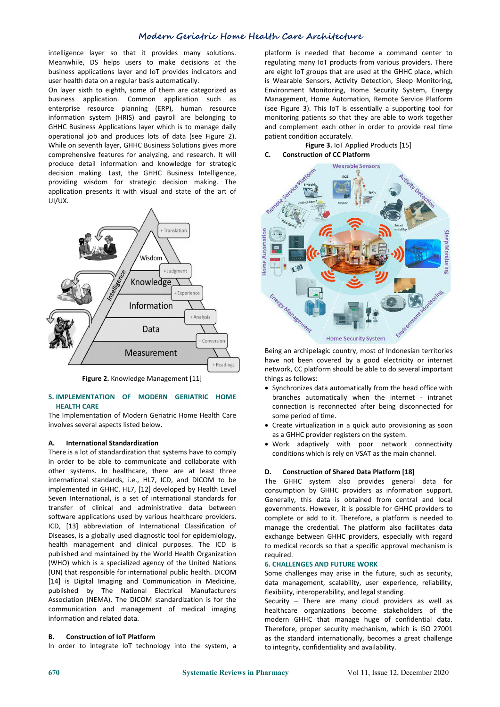intelligence layer so that it provides many solutions. Meanwhile, DS helps users to make decisions at the business applications layer and IoT provides indicators and user health data on a regular basis automatically.

On layer sixth to eighth, some of them are categorized as business application. Common application such as enterprise resource planning (ERP), human resource information system (HRIS) and payroll are belonging to GHHC Business Applications layer which is to manage daily operational job and produces lots of data (see Figure 2). While on seventh layer, GHHC Business Solutions gives more comprehensive features for analyzing, and research. It will produce detail information and knowledge for strategic decision making. Last, the GHHC Business Intelligence, providing wisdom for strategic decision making. The application presents it with visual and state of the art of UI/UX.



**Figure 2.** Knowledge Management [11]

# **5. IMPLEMENTATION OF MODERN GERIATRIC HOME HEALTH CARE**

The Implementation of Modern Geriatric Home Health Care involves several aspects listed below.

#### **A. International Standardization**

There is a lot of standardization that systems have to comply in order to be able to communicate and collaborate with other systems. In healthcare, there are at least three  $D$ . international standards, i.e., HL7, ICD, and DICOM to be implemented in GHHC. HL7, [12] developed by Health Level Seven International, is a set of international standards for transfer of clinical and administrative data between software applications used by various healthcare providers. ICD, [13] abbreviation of International Classification of Diseases, is a globally used diagnostic tool for epidemiology, health management and clinical purposes. The ICD is published and maintained by the World Health Organization (WHO) which is a specialized agency of the United Nations (UN) that responsible for international public health. DICOM [14] is Digital Imaging and Communication in Medicine, published by The National Electrical Manufacturers Association (NEMA). The DICOM standardization is for the communication and management of medical imaging information and related data.

# **B. Construction of IoT Platform**

In order to integrate IoT technology into the system, a

platform is needed that become a command center to regulating many IoT products from various providers. There are eight IoT groups that are used at the GHHC place, which is Wearable Sensors, Activity Detection, Sleep Monitoring,<br>Environment Monitoring, Home Security System, Energy Management, Home Automation, Remote Service Platform (see Figure 3). This IoT is essentially a supporting tool for monitoring patients so that they are able to work together and complement each other in order to provide real time patient condition accurately.

# **Figure 3.** IoT Applied Products [15] **C. Construction of CC Platform**



Being an archipelagic country, most of Indonesian territories have not been covered by a good electricity or internet network, CC platform should be able to do several important things as follows:

- Synchronizes data automatically from the head office with branches automatically when the internet - intranet connection is reconnected after being disconnected for some period of time.
- Create virtualization in a quick auto provisioning as soon as a GHHC provider registers on the system.
- Work adaptively with poor network connectivity conditions which is rely on VSAT as the main channel.

# **D. Construction of Shared Data Platform [18]**

The GHHC system also provides general data for consumption by GHHC providers as information support. Generally, this data is obtained from central and local governments. However, it is possible for GHHC providers to complete or add to it. Therefore, a platform is needed to manage the credential. The platform also facilitates data exchange between GHHC providers, especially with regard to medical records so that a specific approval mechanism is required.

# **6. CHALLENGES AND FUTURE WORK**

Some challenges may arise in the future, such as security, data management, scalability, user experience, reliability, flexibility, interoperability, and legal standing.

Security – There are many cloud providers as well as healthcare organizations become stakeholders of the modern GHHC that manage huge of confidential data. Therefore, proper security mechanism, which is ISO 27001 as the standard internationally, becomes a great challenge to integrity, confidentiality and availability.